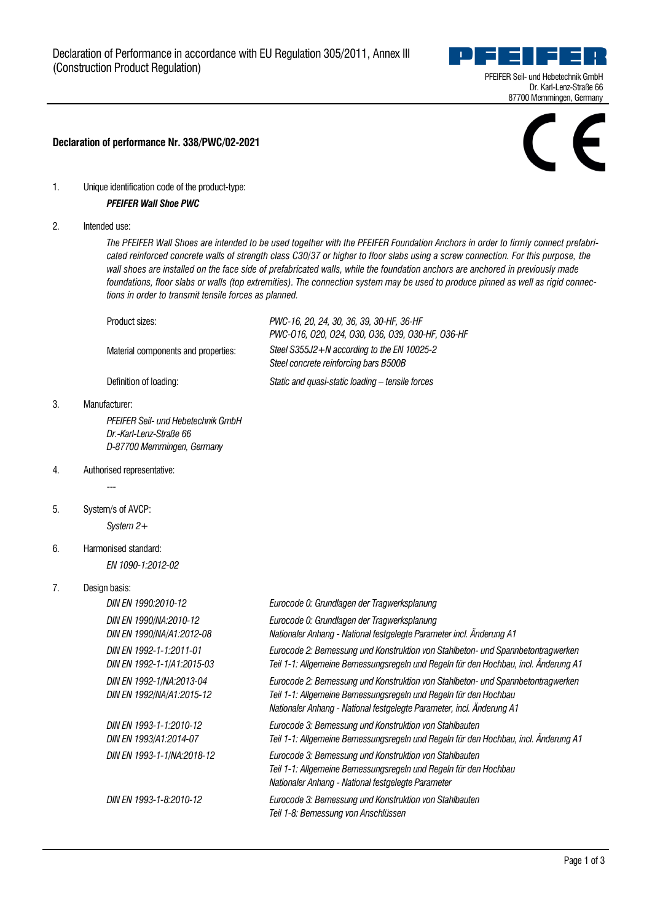

## **Declaration of performance Nr. 338/PWC/02-2021**

1. Unique identification code of the product-type:

## *PFEIFER Wall Shoe PWC*

2. Intended use:

*The PFEIFER Wall Shoes are intended to be used together with the PFEIFER Foundation Anchors in order to firmly connect prefabricated reinforced concrete walls of strength class C30/37 or higher to floor slabs using a screw connection. For this purpose, the wall shoes are installed on the face side of prefabricated walls, while the foundation anchors are anchored in previously made foundations, floor slabs or walls (top extremities). The connection system may be used to produce pinned as well as rigid connections in order to transmit tensile forces as planned.*

| Product sizes:                      | PWC-16, 20, 24, 30, 36, 39, 30-HF, 36-HF<br>PWC-016, 020, 024, 030, 036, 039, 030-HF, 036-HF |
|-------------------------------------|----------------------------------------------------------------------------------------------|
| Material components and properties: | Steel $S355J2 + N$ according to the EN 10025-2<br>Steel concrete reinforcing bars B500B      |
| Definition of loading:              | Static and quasi-static loading – tensile forces                                             |

3. Manufacturer:

*PFEIFER Seil- und Hebetechnik GmbH Dr.-Karl-Lenz-Straße 66 D-87700 Memmingen, Germany*

- 4. Authorised representative: ---
- 5. System/s of AVCP:

*System 2+*

6. Harmonised standard:

*EN 1090-1:2012-02*

## 7. Design basis:

| DIN EN 1990:2010-12                                   | Eurocode 0: Grundlagen der Tragwerksplanung                                                                                                                                                                                  |
|-------------------------------------------------------|------------------------------------------------------------------------------------------------------------------------------------------------------------------------------------------------------------------------------|
| DIN EN 1990/NA:2010-12<br>DIN EN 1990/NA/A1:2012-08   | Eurocode 0: Grundlagen der Tragwerksplanung<br>Nationaler Anhang - National festgelegte Parameter incl. Änderung A1                                                                                                          |
| DIN FN 1992-1-1:2011-01<br>DIN EN 1992-1-1/A1:2015-03 | Eurocode 2: Bemessung und Konstruktion von Stahlbeton- und Spannbetontragwerken<br>Teil 1-1: Allgemeine Bemessungsregeln und Regeln für den Hochbau, incl. Änderung A1                                                       |
| DIN EN 1992-1/NA:2013-04<br>DIN EN 1992/NA/A1:2015-12 | Eurocode 2: Bemessung und Konstruktion von Stahlbeton- und Spannbetontragwerken<br>Teil 1-1: Allgemeine Bemessungsregeln und Regeln für den Hochbau<br>Nationaler Anhang - National festgelegte Parameter, incl. Änderung A1 |
| DIN EN 1993-1-1:2010-12<br>DIN EN 1993/A1:2014-07     | Eurocode 3: Bemessung und Konstruktion von Stahlbauten<br>Teil 1-1: Allgemeine Bemessungsregeln und Regeln für den Hochbau, incl. Änderung A1                                                                                |
| DIN EN 1993-1-1/NA:2018-12                            | Eurocode 3: Bemessung und Konstruktion von Stahlbauten<br>Teil 1-1: Allgemeine Bemessungsregeln und Regeln für den Hochbau<br>Nationaler Anhang - National festgelegte Parameter                                             |
| DIN EN 1993-1-8:2010-12                               | Eurocode 3: Bemessung und Konstruktion von Stahlbauten<br>Teil 1-8: Bemessung von Anschlüssen                                                                                                                                |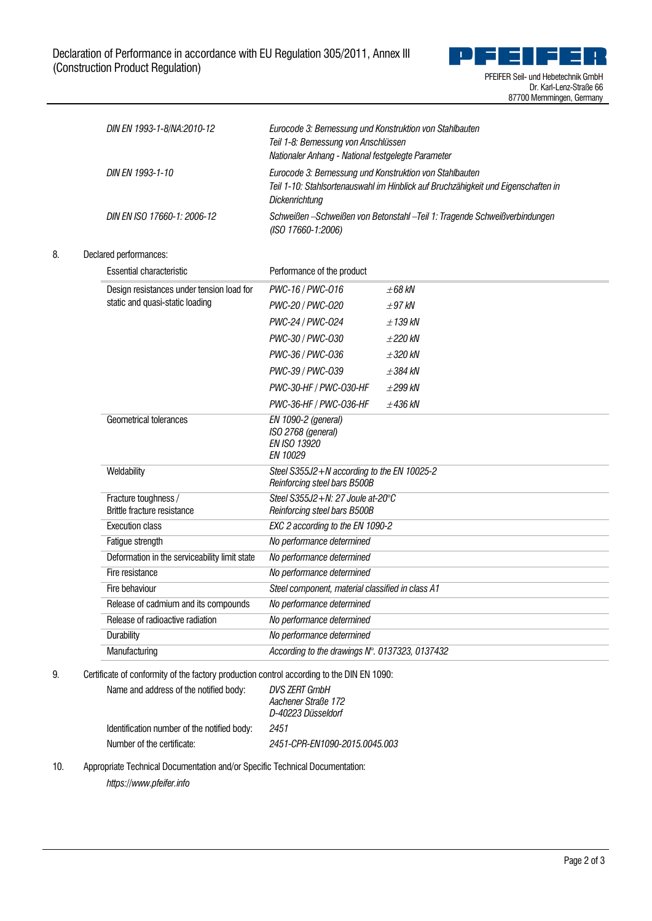

|                                   |  | DIN EN 1993-1-8/NA:2010-12                          | Eurocode 3: Bemessung und Konstruktion von Stahlbauten<br>Teil 1-8: Bemessung von Anschlüssen<br>Nationaler Anhang - National festgelegte Parameter<br>Eurocode 3: Bemessung und Konstruktion von Stahlbauten<br>Teil 1-10: Stahlsortenauswahl im Hinblick auf Bruchzähigkeit und Eigenschaften in<br><b>Dickenrichtung</b><br>Schweißen -Schweißen von Betonstahl -Teil 1: Tragende Schweißverbindungen<br>(ISO 17660-1:2006) |              |  |
|-----------------------------------|--|-----------------------------------------------------|--------------------------------------------------------------------------------------------------------------------------------------------------------------------------------------------------------------------------------------------------------------------------------------------------------------------------------------------------------------------------------------------------------------------------------|--------------|--|
|                                   |  | DIN EN 1993-1-10                                    |                                                                                                                                                                                                                                                                                                                                                                                                                                |              |  |
|                                   |  | DIN EN ISO 17660-1: 2006-12                         |                                                                                                                                                                                                                                                                                                                                                                                                                                |              |  |
| 8.                                |  | Declared performances:                              |                                                                                                                                                                                                                                                                                                                                                                                                                                |              |  |
|                                   |  | Essential characteristic                            | Performance of the product                                                                                                                                                                                                                                                                                                                                                                                                     |              |  |
|                                   |  | Design resistances under tension load for           | PWC-16 / PWC-016                                                                                                                                                                                                                                                                                                                                                                                                               | $\pm 68$ kN  |  |
|                                   |  | static and quasi-static loading                     | PWC-20 / PWC-020                                                                                                                                                                                                                                                                                                                                                                                                               | $\pm 97$ kN  |  |
|                                   |  |                                                     | PWC-24 / PWC-024                                                                                                                                                                                                                                                                                                                                                                                                               | $±139$ kN    |  |
|                                   |  | PWC-30 / PWC-030                                    | $+220$ kN                                                                                                                                                                                                                                                                                                                                                                                                                      |              |  |
|                                   |  |                                                     | PWC-36 / PWC-036                                                                                                                                                                                                                                                                                                                                                                                                               | ±320 kN      |  |
|                                   |  |                                                     | PWC-39 / PWC-039                                                                                                                                                                                                                                                                                                                                                                                                               | $\pm$ 384 kN |  |
|                                   |  |                                                     | PWC-30-HF / PWC-030-HF                                                                                                                                                                                                                                                                                                                                                                                                         | $\pm 299$ kN |  |
|                                   |  |                                                     | PWC-36-HF / PWC-036-HF                                                                                                                                                                                                                                                                                                                                                                                                         | $+436$ kN    |  |
|                                   |  | Geometrical tolerances                              | EN 1090-2 (general)<br>ISO 2768 (general)<br>EN ISO 13920<br>EN 10029                                                                                                                                                                                                                                                                                                                                                          |              |  |
|                                   |  | Weldability                                         | Steel S355J2+N according to the EN 10025-2<br>Reinforcing steel bars B500B                                                                                                                                                                                                                                                                                                                                                     |              |  |
|                                   |  | Fracture toughness /<br>Brittle fracture resistance | Steel S355J2+N: 27 Joule at-20°C<br>Reinforcing steel bars B500B<br>EXC 2 according to the EN 1090-2<br>No performance determined                                                                                                                                                                                                                                                                                              |              |  |
|                                   |  | <b>Execution class</b>                              |                                                                                                                                                                                                                                                                                                                                                                                                                                |              |  |
|                                   |  | Fatigue strength                                    |                                                                                                                                                                                                                                                                                                                                                                                                                                |              |  |
| Fire resistance<br>Fire behaviour |  | Deformation in the serviceability limit state       | No performance determined                                                                                                                                                                                                                                                                                                                                                                                                      |              |  |
|                                   |  |                                                     | No performance determined                                                                                                                                                                                                                                                                                                                                                                                                      |              |  |
|                                   |  |                                                     | Steel component, material classified in class A1                                                                                                                                                                                                                                                                                                                                                                               |              |  |
|                                   |  | Release of cadmium and its compounds                | No performance determined                                                                                                                                                                                                                                                                                                                                                                                                      |              |  |
|                                   |  | Release of radioactive radiation                    | No performance determined<br>No performance determined                                                                                                                                                                                                                                                                                                                                                                         |              |  |
|                                   |  | Durability                                          |                                                                                                                                                                                                                                                                                                                                                                                                                                |              |  |
|                                   |  | Manufacturing                                       | According to the drawings N°. 0137323, 0137432                                                                                                                                                                                                                                                                                                                                                                                 |              |  |

9. Certificate of conformity of the factory production control according to the DIN EN 1090:

| Name and address of the notified body:      | <b>DVS 7FRT GmbH</b><br>Aachener Straße 172<br>D-40223 Düsseldorf |
|---------------------------------------------|-------------------------------------------------------------------|
| Identification number of the notified body: | 2451                                                              |
| Number of the certificate:                  | 2451-CPR-FN1090-2015.0045.003                                     |

10. Appropriate Technical Documentation and/or Specific Technical Documentation:

*https://www.pfeifer.info*